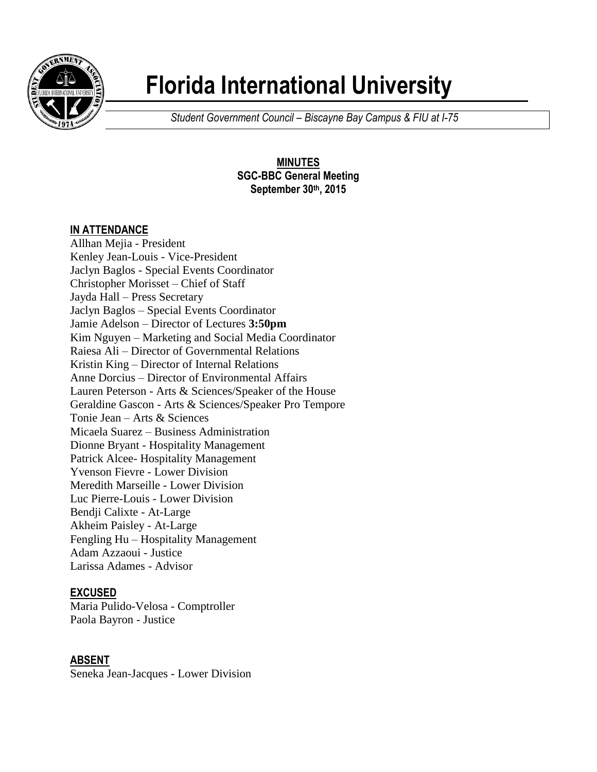

# **Florida International University**

*Student Government Council – Biscayne Bay Campus & FIU at I-75*

**MINUTES SGC-BBC General Meeting September 30th, 2015**

# **IN ATTENDANCE**

Allhan Mejia - President Kenley Jean-Louis - Vice-President Jaclyn Baglos - Special Events Coordinator Christopher Morisset – Chief of Staff Jayda Hall – Press Secretary Jaclyn Baglos – Special Events Coordinator Jamie Adelson – Director of Lectures **3:50pm** Kim Nguyen – Marketing and Social Media Coordinator Raiesa Ali – Director of Governmental Relations Kristin King – Director of Internal Relations Anne Dorcius – Director of Environmental Affairs Lauren Peterson - Arts & Sciences/Speaker of the House Geraldine Gascon - Arts & Sciences/Speaker Pro Tempore Tonie Jean – Arts & Sciences Micaela Suarez – Business Administration Dionne Bryant - Hospitality Management Patrick Alcee- Hospitality Management Yvenson Fievre - Lower Division Meredith Marseille - Lower Division Luc Pierre-Louis - Lower Division Bendji Calixte - At-Large Akheim Paisley - At-Large Fengling Hu – Hospitality Management Adam Azzaoui - Justice Larissa Adames - Advisor

# **EXCUSED**

Maria Pulido-Velosa - Comptroller Paola Bayron - Justice

# **ABSENT**

Seneka Jean-Jacques - Lower Division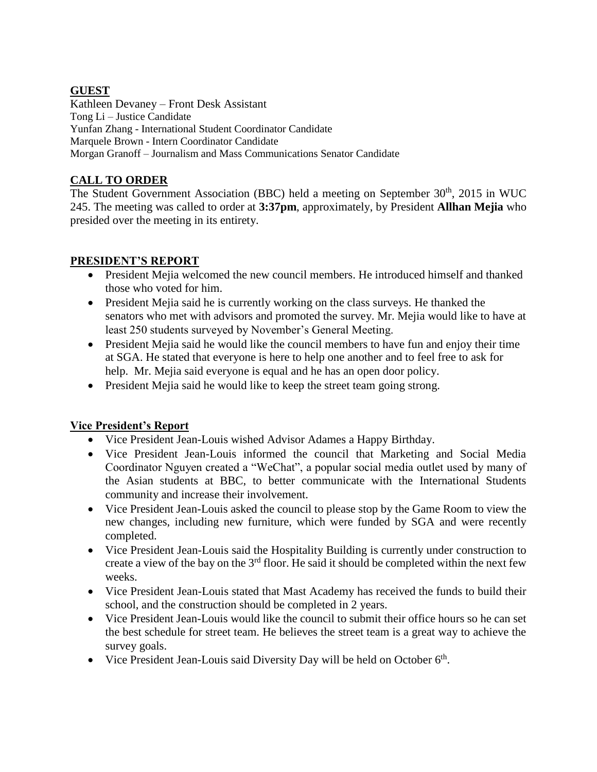#### **GUEST**

Kathleen Devaney – Front Desk Assistant Tong Li – Justice Candidate Yunfan Zhang - International Student Coordinator Candidate Marquele Brown - Intern Coordinator Candidate Morgan Granoff – Journalism and Mass Communications Senator Candidate

# **CALL TO ORDER**

The Student Government Association (BBC) held a meeting on September  $30<sup>th</sup>$ , 2015 in WUC 245. The meeting was called to order at **3:37pm**, approximately, by President **Allhan Mejia** who presided over the meeting in its entirety.

# **PRESIDENT'S REPORT**

- President Mejia welcomed the new council members. He introduced himself and thanked those who voted for him.
- President Mejia said he is currently working on the class surveys. He thanked the senators who met with advisors and promoted the survey. Mr. Mejia would like to have at least 250 students surveyed by November's General Meeting.
- President Mejia said he would like the council members to have fun and enjoy their time at SGA. He stated that everyone is here to help one another and to feel free to ask for help. Mr. Mejia said everyone is equal and he has an open door policy.
- President Mejia said he would like to keep the street team going strong.

#### **Vice President's Report**

- Vice President Jean-Louis wished Advisor Adames a Happy Birthday.
- Vice President Jean-Louis informed the council that Marketing and Social Media Coordinator Nguyen created a "WeChat", a popular social media outlet used by many of the Asian students at BBC, to better communicate with the International Students community and increase their involvement.
- Vice President Jean-Louis asked the council to please stop by the Game Room to view the new changes, including new furniture, which were funded by SGA and were recently completed.
- Vice President Jean-Louis said the Hospitality Building is currently under construction to create a view of the bay on the  $3<sup>rd</sup>$  floor. He said it should be completed within the next few weeks.
- Vice President Jean-Louis stated that Mast Academy has received the funds to build their school, and the construction should be completed in 2 years.
- Vice President Jean-Louis would like the council to submit their office hours so he can set the best schedule for street team. He believes the street team is a great way to achieve the survey goals.
- Vice President Jean-Louis said Diversity Day will be held on October  $6<sup>th</sup>$ .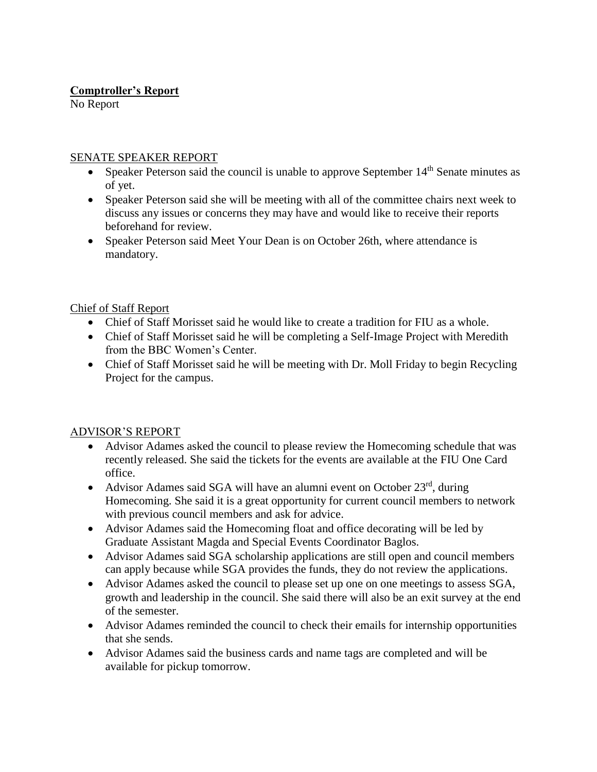## **Comptroller's Report**

No Report

#### SENATE SPEAKER REPORT

- Speaker Peterson said the council is unable to approve September 14<sup>th</sup> Senate minutes as of yet.
- Speaker Peterson said she will be meeting with all of the committee chairs next week to discuss any issues or concerns they may have and would like to receive their reports beforehand for review.
- Speaker Peterson said Meet Your Dean is on October 26th, where attendance is mandatory.

#### Chief of Staff Report

- Chief of Staff Morisset said he would like to create a tradition for FIU as a whole.
- Chief of Staff Morisset said he will be completing a Self-Image Project with Meredith from the BBC Women's Center.
- Chief of Staff Morisset said he will be meeting with Dr. Moll Friday to begin Recycling Project for the campus.

#### ADVISOR'S REPORT

- Advisor Adames asked the council to please review the Homecoming schedule that was recently released. She said the tickets for the events are available at the FIU One Card office.
- Advisor Adames said SGA will have an alumni event on October  $23<sup>rd</sup>$ , during Homecoming. She said it is a great opportunity for current council members to network with previous council members and ask for advice.
- Advisor Adames said the Homecoming float and office decorating will be led by Graduate Assistant Magda and Special Events Coordinator Baglos.
- Advisor Adames said SGA scholarship applications are still open and council members can apply because while SGA provides the funds, they do not review the applications.
- Advisor Adames asked the council to please set up one on one meetings to assess SGA, growth and leadership in the council. She said there will also be an exit survey at the end of the semester.
- Advisor Adames reminded the council to check their emails for internship opportunities that she sends.
- Advisor Adames said the business cards and name tags are completed and will be available for pickup tomorrow.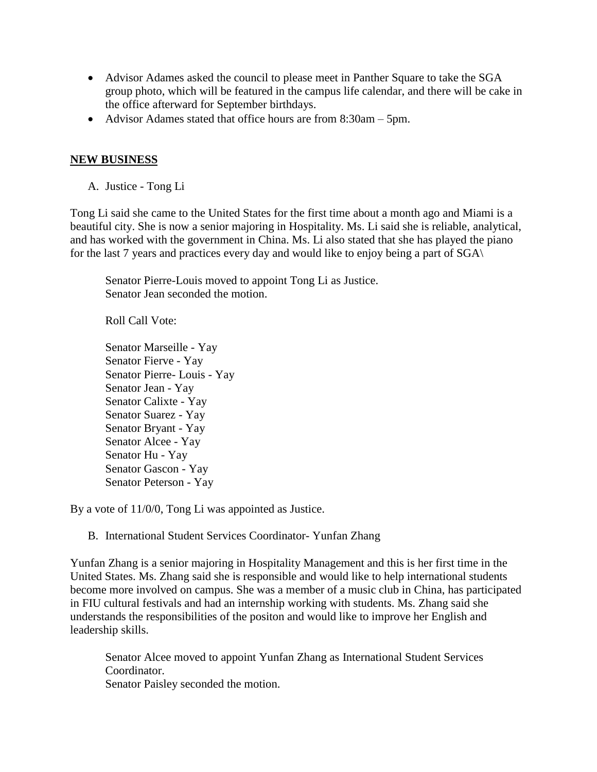- Advisor Adames asked the council to please meet in Panther Square to take the SGA group photo, which will be featured in the campus life calendar, and there will be cake in the office afterward for September birthdays.
- Advisor Adames stated that office hours are from 8:30am 5pm.

#### **NEW BUSINESS**

A. Justice - Tong Li

Tong Li said she came to the United States for the first time about a month ago and Miami is a beautiful city. She is now a senior majoring in Hospitality. Ms. Li said she is reliable, analytical, and has worked with the government in China. Ms. Li also stated that she has played the piano for the last 7 years and practices every day and would like to enjoy being a part of SGA\

Senator Pierre-Louis moved to appoint Tong Li as Justice. Senator Jean seconded the motion.

Roll Call Vote:

Senator Marseille - Yay Senator Fierve - Yay Senator Pierre- Louis - Yay Senator Jean - Yay Senator Calixte - Yay Senator Suarez - Yay Senator Bryant - Yay Senator Alcee - Yay Senator Hu - Yay Senator Gascon - Yay Senator Peterson - Yay

By a vote of 11/0/0, Tong Li was appointed as Justice.

B. International Student Services Coordinator- Yunfan Zhang

Yunfan Zhang is a senior majoring in Hospitality Management and this is her first time in the United States. Ms. Zhang said she is responsible and would like to help international students become more involved on campus. She was a member of a music club in China, has participated in FIU cultural festivals and had an internship working with students. Ms. Zhang said she understands the responsibilities of the positon and would like to improve her English and leadership skills.

Senator Alcee moved to appoint Yunfan Zhang as International Student Services Coordinator.

Senator Paisley seconded the motion.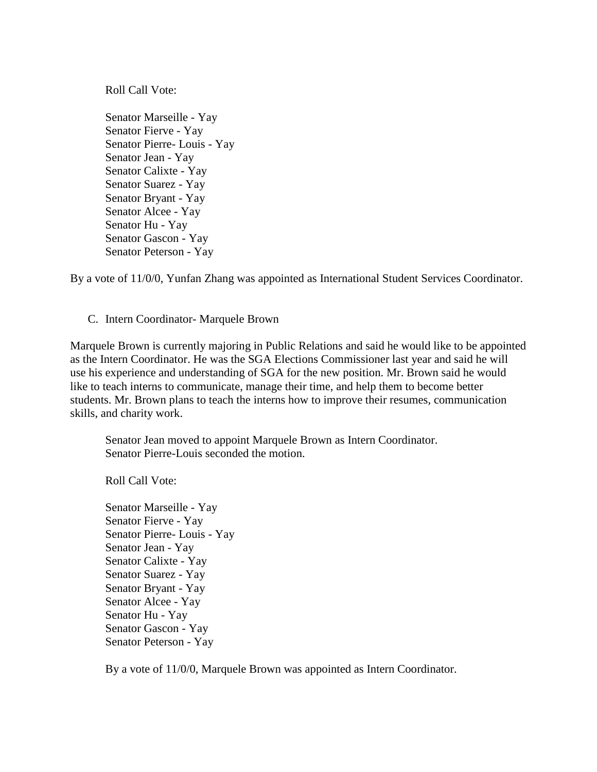Roll Call Vote:

Senator Marseille - Yay Senator Fierve - Yay Senator Pierre- Louis - Yay Senator Jean - Yay Senator Calixte - Yay Senator Suarez - Yay Senator Bryant - Yay Senator Alcee - Yay Senator Hu - Yay Senator Gascon - Yay Senator Peterson - Yay

By a vote of 11/0/0, Yunfan Zhang was appointed as International Student Services Coordinator.

C. Intern Coordinator- Marquele Brown

Marquele Brown is currently majoring in Public Relations and said he would like to be appointed as the Intern Coordinator. He was the SGA Elections Commissioner last year and said he will use his experience and understanding of SGA for the new position. Mr. Brown said he would like to teach interns to communicate, manage their time, and help them to become better students. Mr. Brown plans to teach the interns how to improve their resumes, communication skills, and charity work.

Senator Jean moved to appoint Marquele Brown as Intern Coordinator. Senator Pierre-Louis seconded the motion.

Roll Call Vote:

Senator Marseille - Yay Senator Fierve - Yay Senator Pierre- Louis - Yay Senator Jean - Yay Senator Calixte - Yay Senator Suarez - Yay Senator Bryant - Yay Senator Alcee - Yay Senator Hu - Yay Senator Gascon - Yay Senator Peterson - Yay

By a vote of 11/0/0, Marquele Brown was appointed as Intern Coordinator.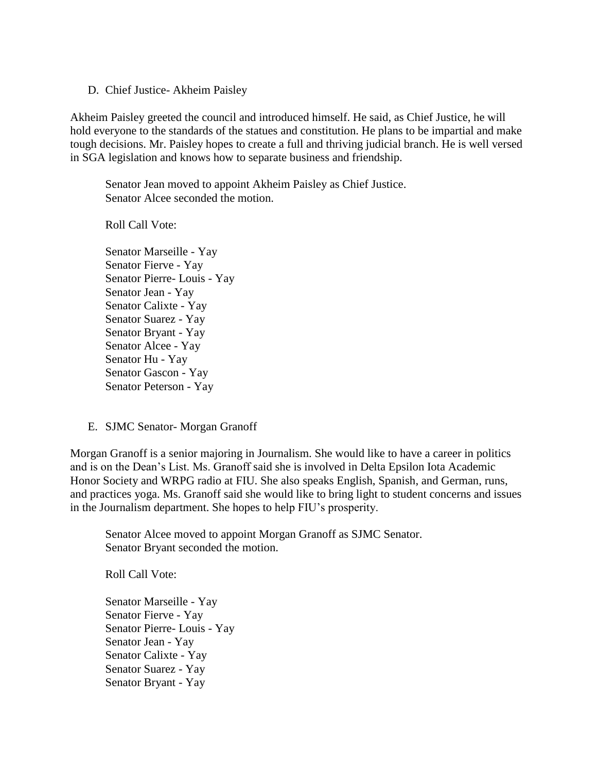D. Chief Justice- Akheim Paisley

Akheim Paisley greeted the council and introduced himself. He said, as Chief Justice, he will hold everyone to the standards of the statues and constitution. He plans to be impartial and make tough decisions. Mr. Paisley hopes to create a full and thriving judicial branch. He is well versed in SGA legislation and knows how to separate business and friendship.

Senator Jean moved to appoint Akheim Paisley as Chief Justice. Senator Alcee seconded the motion.

Roll Call Vote:

Senator Marseille - Yay Senator Fierve - Yay Senator Pierre- Louis - Yay Senator Jean - Yay Senator Calixte - Yay Senator Suarez - Yay Senator Bryant - Yay Senator Alcee - Yay Senator Hu - Yay Senator Gascon - Yay Senator Peterson - Yay

E. SJMC Senator- Morgan Granoff

Morgan Granoff is a senior majoring in Journalism. She would like to have a career in politics and is on the Dean's List. Ms. Granoff said she is involved in Delta Epsilon Iota Academic Honor Society and WRPG radio at FIU. She also speaks English, Spanish, and German, runs, and practices yoga. Ms. Granoff said she would like to bring light to student concerns and issues in the Journalism department. She hopes to help FIU's prosperity.

Senator Alcee moved to appoint Morgan Granoff as SJMC Senator. Senator Bryant seconded the motion.

Roll Call Vote:

Senator Marseille - Yay Senator Fierve - Yay Senator Pierre- Louis - Yay Senator Jean - Yay Senator Calixte - Yay Senator Suarez - Yay Senator Bryant - Yay